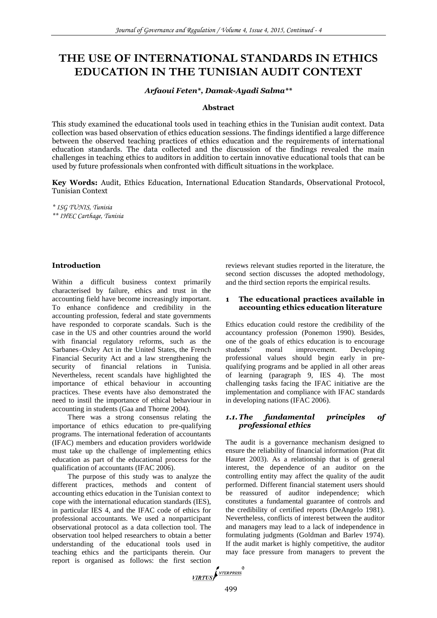# **THE USE OF INTERNATIONAL STANDARDS IN ETHICS EDUCATION IN THE TUNISIAN AUDIT CONTEXT**

## *Arfaoui Feten\*, Damak-Ayadi Salma\*\**

#### **Abstract**

This study examined the educational tools used in teaching ethics in the Tunisian audit context. Data collection was based observation of ethics education sessions. The findings identified a large difference between the observed teaching practices of ethics education and the requirements of international education standards. The data collected and the discussion of the findings revealed the main challenges in teaching ethics to auditors in addition to certain innovative educational tools that can be used by future professionals when confronted with difficult situations in the workplace.

**Key Words:** Audit, Ethics Education, International Education Standards, Observational Protocol, Tunisian Context

*\* ISG TUNIS, Tunisia*

*\*\* IHEC Carthage, Tunisia*

## **Introduction**

Within a difficult business context primarily characterised by failure, ethics and trust in the accounting field have become increasingly important. To enhance confidence and credibility in the accounting profession, federal and state governments have responded to corporate scandals. Such is the case in the US and other countries around the world with financial regulatory reforms, such as the Sarbanes–Oxley Act in the United States, the French Financial Security Act and a law strengthening the security of financial relations in Tunisia. Nevertheless, recent scandals have highlighted the importance of ethical behaviour in accounting practices. These events have also demonstrated the need to instil the importance of ethical behaviour in accounting in students (Gaa and Thorne 2004).

There was a strong consensus relating the importance of ethics education to pre-qualifying programs. The international federation of accountants (IFAC) members and education providers worldwide must take up the challenge of implementing ethics education as part of the educational process for the qualification of accountants (IFAC 2006).

The purpose of this study was to analyze the different practices, methods and content of accounting ethics education in the Tunisian context to cope with the international education standards (IES), in particular IES 4, and the IFAC code of ethics for professional accountants. We used a nonparticipant observational protocol as a data collection tool. The observation tool helped researchers to obtain a better understanding of the educational tools used in teaching ethics and the participants therein. Our report is organised as follows: the first section

reviews relevant studies reported in the literature, the second section discusses the adopted methodology, and the third section reports the empirical results.

## **1 The educational practices available in accounting ethics education literature**

Ethics education could restore the credibility of the accountancy profession (Ponemon 1990). Besides, one of the goals of ethics education is to encourage students' moral improvement. Developing professional values should begin early in prequalifying programs and be applied in all other areas of learning (paragraph 9, IES 4). The most challenging tasks facing the IFAC initiative are the implementation and compliance with IFAC standards in developing nations (IFAC 2006).

## *1.1.The fundamental principles of professional ethics*

The audit is a governance mechanism designed to ensure the reliability of financial information (Prat dit Hauret 2003). As a relationship that is of general interest, the dependence of an auditor on the controlling entity may affect the quality of the audit performed. Different financial statement users should be reassured of auditor independence; which constitutes a fundamental guarantee of controls and the credibility of certified reports (DeAngelo 1981). Nevertheless, conflicts of interest between the auditor and managers may lead to a lack of independence in formulating judgments (Goldman and Barlev 1974). If the audit market is highly competitive, the auditor may face pressure from managers to prevent the

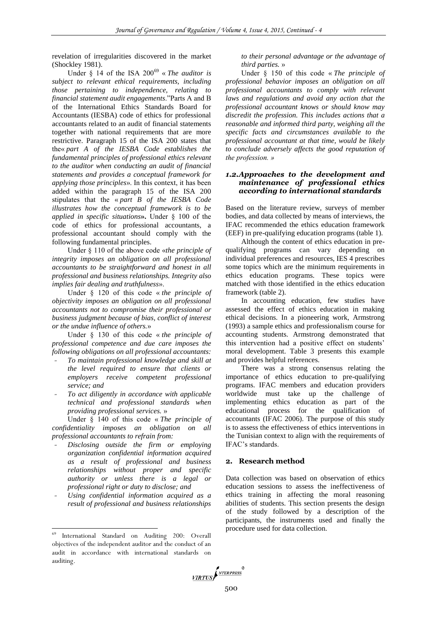revelation of irregularities discovered in the market (Shockley 1981).

Under § 14 of the ISA 200<sup>69</sup> « *The auditor is subject to relevant ethical requirements, including those pertaining to independence, relating to financial statement audit engagements*."Parts A and B of the International Ethics Standards Board for Accountants (IESBA) code of ethics for professional accountants related to an audit of financial statements together with national requirements that are more restrictive. Paragraph 15 of the ISA 200 states that the« *part A of the IESBA Code establishes the fundamental principles of professional ethics relevant to the auditor when conducting an audit of financial statements and provides a conceptual framework for applying those principles*». In this context, it has been added within the paragraph 15 of the ISA 200 stipulates that the « *part B of the IESBA Code illustrates how the conceptual framework is to be applied in specific situations***».** Under § 100 of the code of ethics for professional accountants, a professional accountant should comply with the following fundamental principles.

Under § 110 of the above code «*the principle of integrity imposes an obligation on all professional accountants to be straightforward and honest in all professional and business relationships. Integrity also implies fair dealing and truthfulness*».

Under § 120 of this code « *the principle of objectivity imposes an obligation on all professional accountants not to compromise their professional or business judgment because of bias, conflict of interest or the undue influence of others.*»

Under § 130 of this code « *the principle of professional competence and due care imposes the following obligations on all professional accountants:* 

- **-** *To maintain professional knowledge and skill at the level required to ensure that clients or employers receive competent professional service; and*
- **-** *To act diligently in accordance with applicable technical and professional standards when providing professional services.* »

Under § 140 of this code « *The principle of confidentiality imposes an obligation on all professional accountants to refrain from:*

- **-** *Disclosing outside the firm or employing organization confidential information acquired as a result of professional and business relationships without proper and specific authority or unless there is a legal or professional right or duty to disclose; and*
- **-** *Using confidential information acquired as a result of professional and business relationships*

 $\overline{a}$ 

*to their personal advantage or the advantage of third parties.* »

Under § 150 of this code « *The principle of professional behavior imposes an obligation on all professional accountants to comply with relevant laws and regulations and avoid any action that the professional accountant knows or should know may discredit the profession. This includes actions that a reasonable and informed third party, weighing all the specific facts and circumstances available to the professional accountant at that time, would be likely to conclude adversely affects the good reputation of the profession. »*

## *1.2.Approaches to the development and maintenance of professional ethics according to international standards*

Based on the literature review, surveys of member bodies, and data collected by means of interviews, the IFAC recommended the ethics education framework (EEF) in pre-qualifying education programs (table 1).

Although the content of ethics education in prequalifying programs can vary depending on individual preferences and resources, IES 4 prescribes some topics which are the minimum requirements in ethics education programs. These topics were matched with those identified in the ethics education framework (table 2).

In accounting education, few studies have assessed the effect of ethics education in making ethical decisions. In a pioneering work, Armstrong (1993) a sample ethics and professionalism course for accounting students. Armstrong demonstrated that this intervention had a positive effect on students' moral development. Table 3 presents this example and provides helpful references.

There was a strong consensus relating the importance of ethics education to pre-qualifying programs. IFAC members and education providers worldwide must take up the challenge of implementing ethics education as part of the educational process for the qualification of accountants (IFAC 2006). The purpose of this study is to assess the effectiveness of ethics interventions in the Tunisian context to align with the requirements of IFAC's standards.

#### **2. Research method**

Data collection was based on observation of ethics education sessions to assess the ineffectiveness of ethics training in affecting the moral reasoning abilities of students. This section presents the design of the study followed by a description of the participants, the instruments used and finally the procedure used for data collection.



<sup>69</sup> International Standard on Auditing 200: Overall objectives of the independent auditor and the conduct of an audit in accordance with international standards on auditing.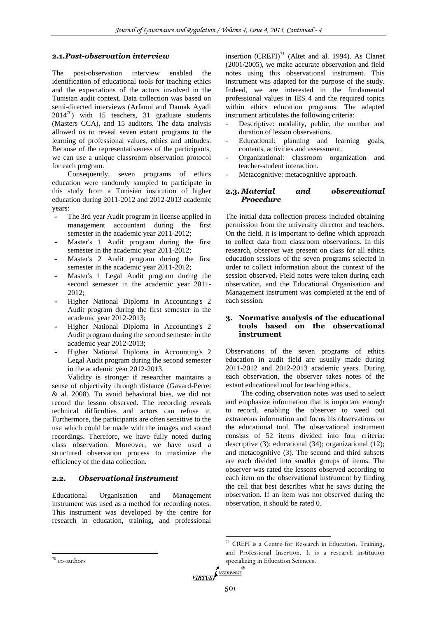## **2.1.***Post-observation interview*

The post-observation interview enabled the identification of educational tools for teaching ethics and the expectations of the actors involved in the Tunisian audit context. Data collection was based on semi-directed interviews (Arfaoui and Damak Ayadi  $2014^{70}$ ) with 15 teachers, 31 graduate students (Masters CCA), and 15 auditors. The data analysis allowed us to reveal seven extant programs to the learning of professional values, ethics and attitudes. Because of the representativeness of the participants, we can use a unique classroom observation protocol for each program.

Consequently, seven programs of ethics education were randomly sampled to participate in this study from a Tunisian institution of higher education during 2011-2012 and 2012-2013 academic years:

- **-** The 3rd year Audit program in license applied in management accountant during the first semester in the academic year 2011-2012;
- **-** Master's 1 Audit program during the first semester in the academic year 2011-2012;
- **-** Master's 2 Audit program during the first semester in the academic year 2011-2012;
- **-** Master's 1 Legal Audit program during the second semester in the academic year 2011- 2012;
- **-** Higher National Diploma in Accounting's 2 Audit program during the first semester in the academic year 2012-2013;
- **-** Higher National Diploma in Accounting's 2 Audit program during the second semester in the academic year 2012-2013;
- **-** Higher National Diploma in Accounting's 2 Legal Audit program during the second semester in the academic year 2012-2013.

Validity is stronger if researcher maintains a sense of objectivity through distance (Gavard-Perret & al. 2008). To avoid behavioral bias, we did not record the lesson observed. The recording reveals technical difficulties and actors can refuse it. Furthermore, the participants are often sensitive to the use which could be made with the images and sound recordings. Therefore, we have fully noted during class observation. Moreover, we have used a structured observation process to maximize the efficiency of the data collection.

## **2.2.** *Observational instrument*

Educational Organisation and Management instrument was used as a method for recording notes. This instrument was developed by the centre for research in education, training, and professional insertion  $(CREFI)^{71}$  (Altet and al. 1994). As Clanet (2001/2005), we make accurate observation and field notes using this observational instrument. This instrument was adapted for the purpose of the study. Indeed, we are interested in the fundamental professional values in IES 4 and the required topics within ethics education programs. The adapted instrument articulates the following criteria:

- Descriptive: modality, public, the number and duration of lesson observations.
- *-* Educational: planning and learning goals, contents, activities and assessment.
- *-* Organizational: classroom organization and teacher-student interaction.
- *-* Metacognitive: metacognitive approach.

## **2.3.** *Material and observational Procedure*

The initial data collection process included obtaining permission from the university director and teachers. On the field, it is important to define which approach to collect data from classroom observations. In this research, observer was present on class for all ethics education sessions of the seven programs selected in order to collect information about the context of the session observed. Field notes were taken during each observation, and the Educational Organisation and Management instrument was completed at the end of each session.

## **3. Normative analysis of the educational tools based on the observational instrument**

Observations of the seven programs of ethics education in audit field are usually made during 2011-2012 and 2012-2013 academic years. During each observation, the observer takes notes of the extant educational tool for teaching ethics.

The coding observation notes was used to select and emphasize information that is important enough to record, enabling the observer to weed out extraneous information and focus his observations on the educational tool. The observational instrument consists of 52 items divided into four criteria: descriptive (3); educational (34); organizational (12); and metacognitive (3). The second and third subsets are each divided into smaller groups of items. The observer was rated the lessons observed according to each item on the observational instrument by finding the cell that best describes what he saws during the observation. If an item was not observed during the observation, it should be rated 0.

1

 $71$  CREFI is a Centre for Research in Education, Training, and Professional Insertion. It is a research institution specializing in Education Sciences.

 70 co-authors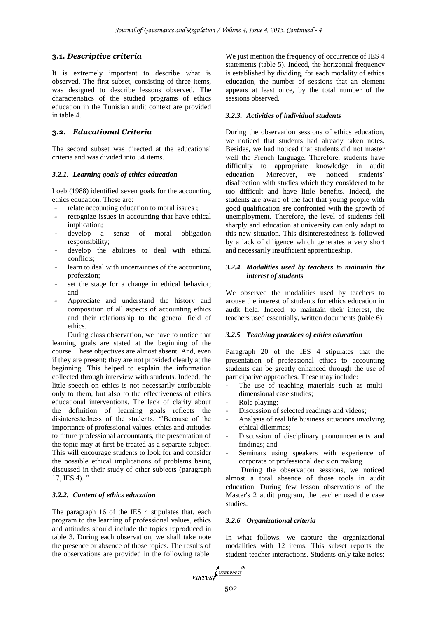## **3.1.** *Descriptive criteria*

It is extremely important to describe what is observed. The first subset, consisting of three items, was designed to describe lessons observed. The characteristics of the studied programs of ethics education in the Tunisian audit context are provided in table 4.

## **3.2.** *Educational Criteria*

The second subset was directed at the educational criteria and was divided into 34 items.

## *3.2.1. Learning goals of ethics education*

Loeb (1988) identified seven goals for the accounting ethics education. These are:

- *-* relate accounting education to moral issues ;
- recognize issues in accounting that have ethical implication;
- *-* develop a sense of moral obligation responsibility;
- *-* develop the abilities to deal with ethical conflicts;
- *-* learn to deal with uncertainties of the accounting profession;
- set the stage for a change in ethical behavior; and
- *-* Appreciate and understand the history and composition of all aspects of accounting ethics and their relationship to the general field of ethics.

During class observation, we have to notice that learning goals are stated at the beginning of the course. These objectives are almost absent. And, even if they are present; they are not provided clearly at the beginning. This helped to explain the information collected through interview with students. Indeed, the little speech on ethics is not necessarily attributable only to them, but also to the effectiveness of ethics educational interventions. The lack of clarity about the definition of learning goals reflects the disinterestedness of the students. ''Because of the importance of professional values, ethics and attitudes to future professional accountants, the presentation of the topic may at first be treated as a separate subject. This will encourage students to look for and consider the possible ethical implications of problems being discussed in their study of other subjects (paragraph 17, IES 4). "

## *3.2.2. Content of ethics education*

The paragraph 16 of the IES 4 stipulates that, each program to the learning of professional values, ethics and attitudes should include the topics reproduced in table 3. During each observation, we shall take note the presence or absence of those topics. The results of the observations are provided in the following table.

We just mention the frequency of occurrence of IES 4 statements (table 5). Indeed, the horizontal frequency is established by dividing, for each modality of ethics education, the number of sessions that an element appears at least once, by the total number of the sessions observed.

#### *3.2.3. Activities of individual students*

During the observation sessions of ethics education, we noticed that students had already taken notes. Besides, we had noticed that students did not master well the French language. Therefore, students have difficulty to appropriate knowledge in audit education. Moreover, we noticed students' disaffection with studies which they considered to be too difficult and have little benefits. Indeed, the students are aware of the fact that young people with good qualification are confronted with the growth of unemployment. Therefore, the level of students fell sharply and education at university can only adapt to this new situation. This disinterestedness is followed by a lack of diligence which generates a very short and necessarily insufficient apprenticeship.

#### *3.2.4. Modalities used by teachers to maintain the interest of students*

We observed the modalities used by teachers to arouse the interest of students for ethics education in audit field. Indeed, to maintain their interest, the teachers used essentially, written documents (table 6).

#### *3.2.5 Teaching practices of ethics education*

Paragraph 20 of the IES 4 stipulates that the presentation of professional ethics to accounting students can be greatly enhanced through the use of participative approaches. These may include:

- The use of teaching materials such as multidimensional case studies;
- *-* Role playing;
- Discussion of selected readings and videos;
- *-* Analysis of real life business situations involving ethical dilemmas;
- Discussion of disciplinary pronouncements and findings; and
- Seminars using speakers with experience of corporate or professional decision making.

During the observation sessions, we noticed almost a total absence of those tools in audit education. During few lesson observations of the Master's 2 audit program, the teacher used the case studies.

#### *3.2.6 Organizational criteria*

In what follows, we capture the organizational modalities with 12 items. This subset reports the student-teacher interactions. Students only take notes;

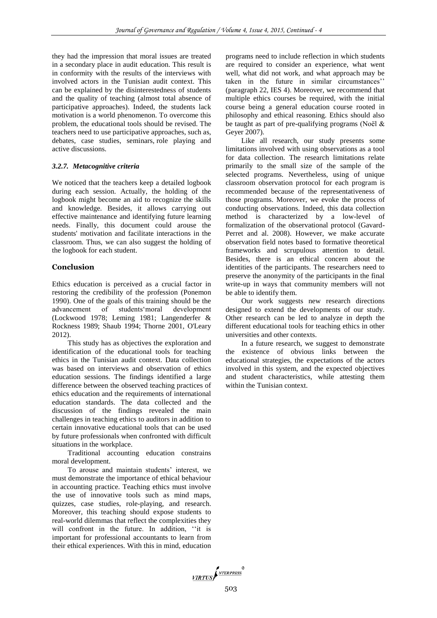they had the impression that moral issues are treated in a secondary place in audit education. This result is in conformity with the results of the interviews with involved actors in the Tunisian audit context. This can be explained by the disinterestedness of students and the quality of teaching (almost total absence of participative approaches). Indeed, the students lack motivation is a world phenomenon. To overcome this problem, the educational tools should be revised. The teachers need to use participative approaches, such as, debates, case studies, seminars, role playing and active discussions.

## *3.2.7. Metacognitive criteria*

We noticed that the teachers keep a detailed logbook during each session. Actually, the holding of the logbook might become an aid to recognize the skills and knowledge. Besides, it allows carrying out effective maintenance and identifying future learning needs. Finally, this document could arouse the students' motivation and facilitate interactions in the classroom. Thus, we can also suggest the holding of the logbook for each student.

## **Conclusion**

Ethics education is perceived as a crucial factor in restoring the credibility of the profession (Ponemon 1990). One of the goals of this training should be the advancement of students'moral development (Lockwood 1978; Leming 1981; Langenderfer & Rockness 1989; Shaub 1994; Thorne 2001, O'Leary 2012).

This study has as objectives the exploration and identification of the educational tools for teaching ethics in the Tunisian audit context. Data collection was based on interviews and observation of ethics education sessions. The findings identified a large difference between the observed teaching practices of ethics education and the requirements of international education standards. The data collected and the discussion of the findings revealed the main challenges in teaching ethics to auditors in addition to certain innovative educational tools that can be used by future professionals when confronted with difficult situations in the workplace.

Traditional accounting education constrains moral development.

To arouse and maintain students' interest, we must demonstrate the importance of ethical behaviour in accounting practice. Teaching ethics must involve the use of innovative tools such as mind maps, quizzes, case studies, role-playing, and research. Moreover, this teaching should expose students to real-world dilemmas that reflect the complexities they will confront in the future. In addition, "it is important for professional accountants to learn from their ethical experiences. With this in mind, education

programs need to include reflection in which students are required to consider an experience, what went well, what did not work, and what approach may be taken in the future in similar circumstances'' (paragraph 22, IES 4). Moreover, we recommend that multiple ethics courses be required, with the initial course being a general education course rooted in philosophy and ethical reasoning. Ethics should also be taught as part of pre-qualifying programs (Noël  $\&$ Geyer 2007).

Like all research, our study presents some limitations involved with using observations as a tool for data collection. The research limitations relate primarily to the small size of the sample of the selected programs. Nevertheless, using of unique classroom observation protocol for each program is recommended because of the representativeness of those programs. Moreover, we evoke the process of conducting observations. Indeed, this data collection method is characterized by a low-level of formalization of the observational protocol (Gavard-Perret and al. 2008). However, we make accurate observation field notes based to formative theoretical frameworks and scrupulous attention to detail. Besides, there is an ethical concern about the identities of the participants. The researchers need to preserve the anonymity of the participants in the final write-up in ways that community members will not be able to identify them.

Our work suggests new research directions designed to extend the developments of our study. Other research can be led to analyze in depth the different educational tools for teaching ethics in other universities and other contexts.

In a future research, we suggest to demonstrate the existence of obvious links between the educational strategies, the expectations of the actors involved in this system, and the expected objectives and student characteristics, while attesting them within the Tunisian context.

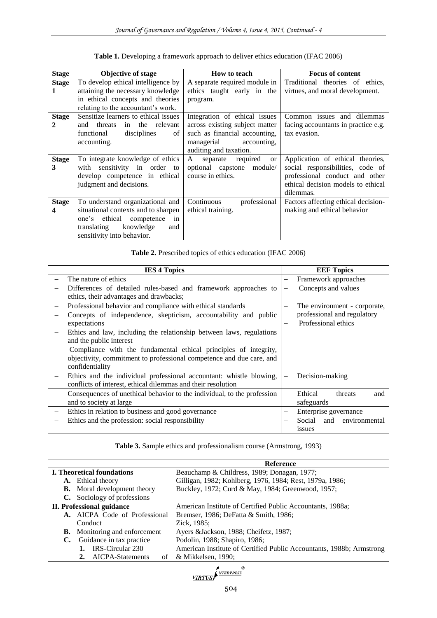| <b>Stage</b> | <b>Objective of stage</b>            | How to teach                    | <b>Focus of content</b>             |
|--------------|--------------------------------------|---------------------------------|-------------------------------------|
| <b>Stage</b> | To develop ethical intelligence by   | A separate required module in   | Traditional theories of ethics,     |
| 1            | attaining the necessary knowledge    | ethics taught early in the      | virtues, and moral development.     |
|              | in ethical concepts and theories     | program.                        |                                     |
|              | relating to the accountant's work.   |                                 |                                     |
| <b>Stage</b> | Sensitize learners to ethical issues | Integration of ethical issues   | Common issues and dilemmas          |
| 2            | threats<br>in the relevant<br>and    | across existing subject matter  | facing accountants in practice e.g. |
|              | disciplines<br>functional<br>of      | such as financial accounting,   | tax evasion.                        |
|              | accounting.                          | managerial<br>accounting,       |                                     |
|              |                                      | auditing and taxation.          |                                     |
| <b>Stage</b> | To integrate knowledge of ethics     | separate<br>required<br>A<br>or | Application of ethical theories,    |
| 3            | with sensitivity in order<br>to      | optional capstone<br>module/    | social responsibilities, code of    |
|              | develop competence in ethical        | course in ethics.               | professional conduct and other      |
|              | judgment and decisions.              |                                 | ethical decision models to ethical  |
|              |                                      |                                 | dilemmas.                           |
| <b>Stage</b> | To understand organizational and     | Continuous<br>professional      | Factors affecting ethical decision- |
| 4            | situational contexts and to sharpen  | ethical training.               | making and ethical behavior         |
|              | one's ethical competence<br>in       |                                 |                                     |
|              | knowledge<br>translating<br>and      |                                 |                                     |
|              | sensitivity into behavior.           |                                 |                                     |

**Table 1.** Developing a framework approach to deliver ethics education (IFAC 2006)

|  |  | Table 2. Prescribed topics of ethics education (IFAC 2006) |
|--|--|------------------------------------------------------------|
|  |  |                                                            |

| <b>IES 4 Topics</b>                                                     | <b>EEF</b> Topics              |
|-------------------------------------------------------------------------|--------------------------------|
| The nature of ethics                                                    | Framework approaches           |
| Differences of detailed rules-based and framework approaches to         | Concepts and values            |
| ethics, their advantages and drawbacks;                                 |                                |
| Professional behavior and compliance with ethical standards             | The environment - corporate,   |
| Concepts of independence, skepticism, accountability and public         | professional and regulatory    |
| expectations                                                            | Professional ethics            |
| Ethics and law, including the relationship between laws, regulations    |                                |
| and the public interest                                                 |                                |
| Compliance with the fundamental ethical principles of integrity,        |                                |
| objectivity, commitment to professional competence and due care, and    |                                |
| confidentiality                                                         |                                |
| Ethics and the individual professional accountant: whistle blowing,     | Decision-making                |
| conflicts of interest, ethical dilemmas and their resolution            |                                |
| Consequences of unethical behavior to the individual, to the profession | Ethical<br>threats<br>and      |
| and to society at large                                                 | safeguards                     |
| Ethics in relation to business and good governance                      | Enterprise governance          |
| Ethics and the profession: social responsibility                        | environmental<br>Social<br>and |
|                                                                         | issues                         |

**Table 3.** Sample ethics and professionalism course (Armstrong, 1993)

|                                   |                                      | <b>Reference</b>                                                     |
|-----------------------------------|--------------------------------------|----------------------------------------------------------------------|
| <b>I. Theoretical foundations</b> |                                      | Beauchamp & Childress, 1989; Donagan, 1977;                          |
|                                   | A. Ethical theory                    | Gilligan, 1982; Kohlberg, 1976, 1984; Rest, 1979a, 1986;             |
|                                   | <b>B.</b> Moral development theory   | Buckley, 1972; Curd & May, 1984; Greenwood, 1957;                    |
|                                   | C. Sociology of professions          |                                                                      |
|                                   | <b>II. Professional guidance</b>     | American Institute of Certified Public Accountants, 1988a;           |
|                                   | A. AICPA Code of Professional        | Bremser, 1986; DeFatta & Smith, 1986;                                |
|                                   | Conduct                              | Zick, 1985;                                                          |
|                                   | <b>B.</b> Monitoring and enforcement | Ayers & Jackson, 1988; Cheifetz, 1987;                               |
| C.                                | Guidance in tax practice             | Podolin, 1988; Shapiro, 1986;                                        |
|                                   | IRS-Circular 230                     | American Institute of Certified Public Accountants, 1988b; Armstrong |
|                                   | 2. AICPA-Statements<br>of            | & Mikkelsen, 1990;                                                   |

VIRTUS NEERPRESS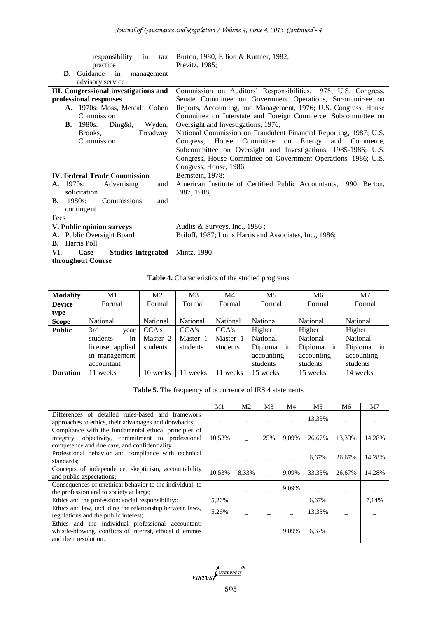| responsibility<br>in<br>tax                  | Burton, 1980; Elliott & Kuttner, 1982;                            |
|----------------------------------------------|-------------------------------------------------------------------|
| practice                                     | Previtz, 1985;                                                    |
| D. Guidance<br>in<br>management              |                                                                   |
| advisory service                             |                                                                   |
| <b>III.</b> Congressional investigations and | Commission on Auditors' Responsibilities, 1978; U.S. Congress,    |
| professional responses                       | Senate Committee on Government Operations, Su~ommi~ee on          |
| A. 1970s: Moss, Metcalf, Cohen               | Reports, Accounting, and Management, 1976; U.S. Congress, House   |
| Commission                                   | Committee on Interstate and Foreign Commerce, Subcommittee on     |
| <b>B.</b> 1980s:<br>$Ding\&1,$<br>Wyden,     | Oversight and Investigations, 1976;                               |
| Brooks.<br>Treadway                          | National Commission on Fraudulent Financial Reporting, 1987; U.S. |
| Commission                                   | Congress, House Committee<br>on Energy<br>and Commerce,           |
|                                              | Subcommittee on Oversight and Investigations, 1985-1986; U.S.     |
|                                              | Congress, House Committee on Government Operations, 1986; U.S.    |
|                                              | Congress, House, 1986;                                            |
| <b>IV. Federal Trade Commission</b>          | Bernstein, 1978;                                                  |
| <b>A.</b> 1970s:<br>Advertising<br>and       | American Institute of Certified Public Accountants, 1990; Berton, |
| solicitation                                 | 1987, 1988;                                                       |
| 1980s:<br>Commissions<br>В.<br>and           |                                                                   |
| contingent                                   |                                                                   |
| Fees                                         |                                                                   |
| V. Public opinion surveys                    | Audits & Surveys, Inc., 1986;                                     |
| A. Public Oversight Board                    | Briloff, 1987; Louis Harris and Associates, Inc., 1986;           |
| Harris Poll<br>В.                            |                                                                   |
| VI.<br><b>Studies-Integrated</b><br>Case     | Mintz, 1990.                                                      |
| throughout Course                            |                                                                   |

**Table 4.** Characteristics of the studied programs

| <b>Modality</b> | M1              | M2       | M <sub>3</sub> | M4       | M <sub>5</sub> | M6            | M7         |  |
|-----------------|-----------------|----------|----------------|----------|----------------|---------------|------------|--|
| <b>Device</b>   | Formal          | Formal   | Formal         | Formal   | Formal         | Formal        | Formal     |  |
| type            |                 |          |                |          |                |               |            |  |
| <b>Scope</b>    | National        | National | National       | National | National       | National      | National   |  |
| <b>Public</b>   | 3rd<br>year     | CCA's    | CCA's          | CCA's    | Higher         | Higher        | Higher     |  |
|                 | students<br>1n  | Master 2 | Master 1       | Master 1 | National       | National      | National   |  |
|                 | license applied | students | students       | students | Diploma<br>in  | Diploma<br>in | Diploma in |  |
|                 | in management   |          |                |          | accounting     | accounting    | accounting |  |
|                 | accountant      |          |                |          | students       | students      | students   |  |
| <b>Duration</b> | 11 weeks        | 10 weeks | weeks          | weeks    | 15 weeks       | 15 weeks      | 14 weeks   |  |

|                                                                                                                                                             | M1     | M2    | M3  | M4    | M5     | M6     | M7     |
|-------------------------------------------------------------------------------------------------------------------------------------------------------------|--------|-------|-----|-------|--------|--------|--------|
| Differences of detailed rules-based and framework<br>approaches to ethics, their advantages and drawbacks;                                                  |        |       |     |       | 13,33% |        |        |
| Compliance with the fundamental ethical principles of<br>integrity, objectivity, commitment to professional<br>competence and due care, and confidentiality | 10,53% |       | 25% | 9,09% | 26,67% | 13,33% | 14,28% |
| Professional behavior and compliance with technical<br>standards;                                                                                           |        |       |     |       | 6,67%  | 26,67% | 14,28% |
| Concepts of independence, skepticism, accountability<br>and public expectations;                                                                            | 10,53% | 8,33% |     | 9.09% | 33.33% | 26,67% | 14,28% |
| Consequences of unethical behavior to the individual, to<br>the profession and to society at large;                                                         |        |       |     | 9,09% |        |        |        |
| Ethics and the profession: social responsibility;;                                                                                                          | 5,26%  |       |     |       | 6,67%  |        | 7.14%  |
| Ethics and law, including the relationship between laws,<br>regulations and the public interest;                                                            | 5,26%  |       |     |       | 13,33% |        |        |
| Ethics and the individual professional accountant:<br>whistle-blowing, conflicts of interest, ethical dilemmas<br>and their resolution.                     |        |       |     | 9,09% | 6,67%  |        |        |